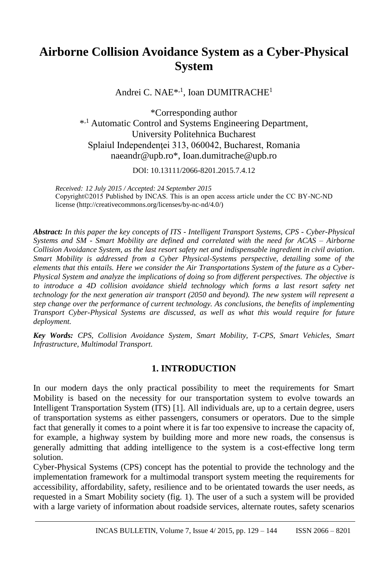# **Airborne Collision Avoidance System as a Cyber-Physical System**

Andrei C. NAE<sup>\*,1</sup>, Ioan DUMITRACHE<sup>1</sup>

\*Corresponding author \*<sup>,1</sup> Automatic Control and Systems Engineering Department, University Politehnica Bucharest Splaiul Independenței 313, 060042, Bucharest, Romania naeandr@upb.ro\*, Ioan.dumitrache@upb.ro

DOI: 10.13111/2066-8201.2015.7.4.12

*Received: 12 July 2015 / Accepted: 24 September 2015* Copyright©2015 Published by INCAS. This is an open access article under the CC BY-NC-ND license (http://creativecommons.org/licenses/by-nc-nd/4.0/)

*Abstract: In this paper the key concepts of ITS - Intelligent Transport Systems, CPS - Cyber-Physical Systems and SM - Smart Mobility are defined and correlated with the need for ACAS – Airborne Collision Avoidance System, as the last resort safety net and indispensable ingredient in civil aviation. Smart Mobility is addressed from a Cyber Physical-Systems perspective, detailing some of the elements that this entails. Here we consider the Air Transportations System of the future as a Cyber-Physical System and analyze the implications of doing so from different perspectives. The objective is*  to introduce a 4D collision avoidance shield technology which forms a last resort safety net *technology for the next generation air transport (2050 and beyond). The new system will represent a step change over the performance of current technology. As conclusions, the benefits of implementing Transport Cyber-Physical Systems are discussed, as well as what this would require for future deployment.*

*Key Words: CPS, Collision Avoidance System, Smart Mobility, T-CPS, Smart Vehicles, Smart Infrastructure, Multimodal Transport.*

## **1. INTRODUCTION**

In our modern days the only practical possibility to meet the requirements for Smart Mobility is based on the necessity for our transportation system to evolve towards an Intelligent Transportation System (ITS) [1]. All individuals are, up to a certain degree, users of transportation systems as either passengers, consumers or operators. Due to the simple fact that generally it comes to a point where it is far too expensive to increase the capacity of, for example, a highway system by building more and more new roads, the consensus is generally admitting that adding intelligence to the system is a cost-effective long term solution.

Cyber-Physical Systems (CPS) concept has the potential to provide the technology and the implementation framework for a multimodal transport system meeting the requirements for accessibility, affordability, safety, resilience and to be orientated towards the user needs, as requested in a Smart Mobility society (fig. 1). The user of a such a system will be provided with a large variety of information about roadside services, alternate routes, safety scenarios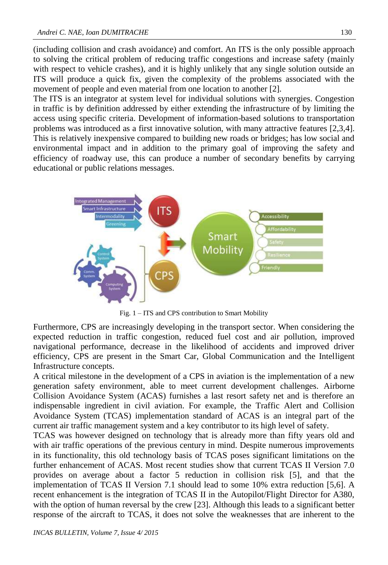(including collision and crash avoidance) and comfort. An ITS is the only possible approach to solving the critical problem of reducing traffic congestions and increase safety (mainly with respect to vehicle crashes), and it is highly unlikely that any single solution outside an ITS will produce a quick fix, given the complexity of the problems associated with the movement of people and even material from one location to another [2].

The ITS is an integrator at system level for individual solutions with synergies. Congestion in traffic is by definition addressed by either extending the infrastructure of by limiting the access using specific criteria. Development of information-based solutions to transportation problems was introduced as a first innovative solution, with many attractive features [2,3,4]. This is relatively inexpensive compared to building new roads or bridges; has low social and environmental impact and in addition to the primary goal of improving the safety and efficiency of roadway use, this can produce a number of secondary benefits by carrying educational or public relations messages.



Fig. 1 – ITS and CPS contribution to Smart Mobility

Furthermore, CPS are increasingly developing in the transport sector. When considering the expected reduction in traffic congestion, reduced fuel cost and air pollution, improved navigational performance, decrease in the likelihood of accidents and improved driver efficiency, CPS are present in the Smart Car, Global Communication and the Intelligent Infrastructure concepts.

A critical milestone in the development of a CPS in aviation is the implementation of a new generation safety environment, able to meet current development challenges. Airborne Collision Avoidance System (ACAS) furnishes a last resort safety net and is therefore an indispensable ingredient in civil aviation. For example, the Traffic Alert and Collision Avoidance System (TCAS) implementation standard of ACAS is an integral part of the current air traffic management system and a key contributor to its high level of safety.

TCAS was however designed on technology that is already more than fifty years old and with air traffic operations of the previous century in mind. Despite numerous improvements in its functionality, this old technology basis of TCAS poses significant limitations on the further enhancement of ACAS. Most recent studies show that current TCAS II Version 7.0 provides on average about a factor 5 reduction in collision risk [5], and that the implementation of TCAS II Version 7.1 should lead to some 10% extra reduction [5,6]. A recent enhancement is the integration of TCAS II in the Autopilot/Flight Director for A380, with the option of human reversal by the crew [23]. Although this leads to a significant better response of the aircraft to TCAS, it does not solve the weaknesses that are inherent to the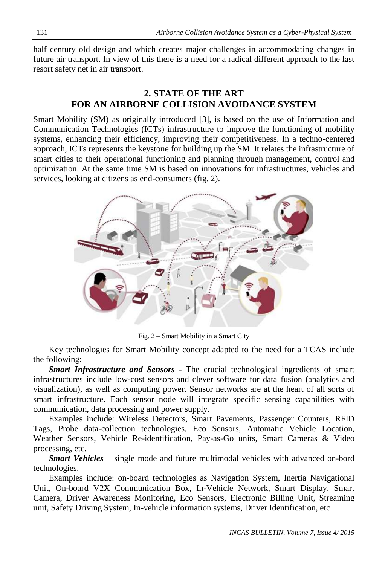half century old design and which creates major challenges in accommodating changes in future air transport. In view of this there is a need for a radical different approach to the last resort safety net in air transport.

# **2. STATE OF THE ART FOR AN AIRBORNE COLLISION AVOIDANCE SYSTEM**

Smart Mobility (SM) as originally introduced [3], is based on the use of Information and Communication Technologies (ICTs) infrastructure to improve the functioning of mobility systems, enhancing their efficiency, improving their competitiveness. In a techno-centered approach, ICTs represents the keystone for building up the SM. It relates the infrastructure of smart cities to their operational functioning and planning through management, control and optimization. At the same time SM is based on innovations for infrastructures, vehicles and services, looking at citizens as end-consumers (fig. 2).



Fig. 2 – Smart Mobility in a Smart City

Key technologies for Smart Mobility concept adapted to the need for a TCAS include the following:

*Smart Infrastructure and Sensors* - The crucial technological ingredients of smart infrastructures include low-cost sensors and clever software for data fusion (analytics and visualization), as well as computing power. Sensor networks are at the heart of all sorts of smart infrastructure. Each sensor node will integrate specific sensing capabilities with communication, data processing and power supply.

Examples include: Wireless Detectors, Smart Pavements, Passenger Counters, RFID Tags, Probe data-collection technologies, Eco Sensors, Automatic Vehicle Location, Weather Sensors, Vehicle Re-identification, Pay-as-Go units, Smart Cameras & Video processing, etc.

*Smart Vehicles* – single mode and future multimodal vehicles with advanced on-bord technologies.

Examples include: on-board technologies as Navigation System, Inertia Navigational Unit, On-board V2X Communication Box, In-Vehicle Network, Smart Display, Smart Camera, Driver Awareness Monitoring, Eco Sensors, Electronic Billing Unit, Streaming unit, Safety Driving System, In-vehicle information systems, Driver Identification, etc.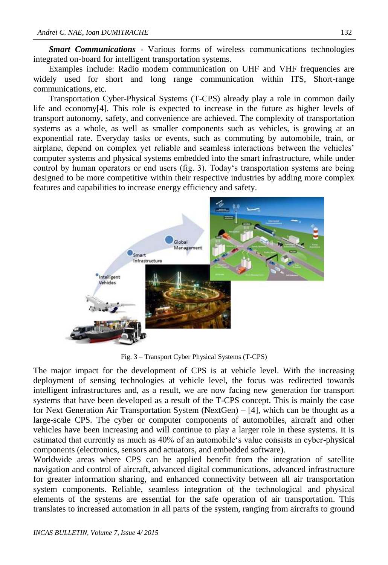*Smart Communications* - Various forms of wireless communications technologies integrated on-board for intelligent transportation systems.

Examples include: Radio modem communication on UHF and VHF frequencies are widely used for short and long range communication within ITS, Short-range communications, etc.

Transportation Cyber-Physical Systems (T-CPS) already play a role in common daily life and economy[4]. This role is expected to increase in the future as higher levels of transport autonomy, safety, and convenience are achieved. The complexity of transportation systems as a whole, as well as smaller components such as vehicles, is growing at an exponential rate. Everyday tasks or events, such as commuting by automobile, train, or airplane, depend on complex yet reliable and seamless interactions between the vehicles' computer systems and physical systems embedded into the smart infrastructure, while under control by human operators or end users (fig. 3). Today's transportation systems are being designed to be more competitive within their respective industries by adding more complex features and capabilities to increase energy efficiency and safety.



Fig. 3 – Transport Cyber Physical Systems (T-CPS)

The major impact for the development of CPS is at vehicle level. With the increasing deployment of sensing technologies at vehicle level, the focus was redirected towards intelligent infrastructures and, as a result, we are now facing new generation for transport systems that have been developed as a result of the T-CPS concept. This is mainly the case for Next Generation Air Transportation System (NextGen) – [4], which can be thought as a large-scale CPS. The cyber or computer components of automobiles, aircraft and other vehicles have been increasing and will continue to play a larger role in these systems. It is estimated that currently as much as 40% of an automobile's value consists in cyber-physical components (electronics, sensors and actuators, and embedded software).

Worldwide areas where CPS can be applied benefit from the integration of satellite navigation and control of aircraft, advanced digital communications, advanced infrastructure for greater information sharing, and enhanced connectivity between all air transportation system components. Reliable, seamless integration of the technological and physical elements of the systems are essential for the safe operation of air transportation. This translates to increased automation in all parts of the system, ranging from aircrafts to ground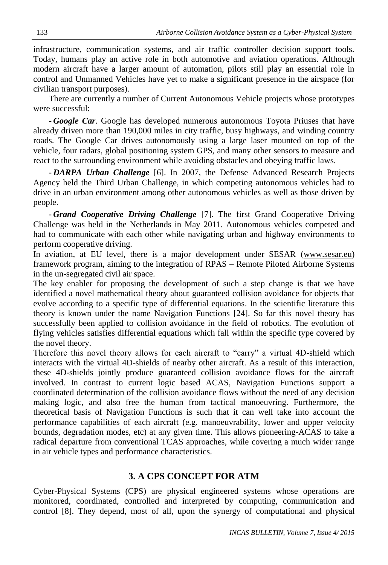infrastructure, communication systems, and air traffic controller decision support tools. Today, humans play an active role in both automotive and aviation operations. Although modern aircraft have a larger amount of automation, pilots still play an essential role in control and Unmanned Vehicles have yet to make a significant presence in the airspace (for civilian transport purposes).

There are currently a number of Current Autonomous Vehicle projects whose prototypes were successful:

- *Google Car*. Google has developed numerous autonomous Toyota Priuses that have already driven more than 190,000 miles in city traffic, busy highways, and winding country roads. The Google Car drives autonomously using a large laser mounted on top of the vehicle, four radars, global positioning system GPS, and many other sensors to measure and react to the surrounding environment while avoiding obstacles and obeying traffic laws.

- *DARPA Urban Challenge* [6]. In 2007, the Defense Advanced Research Projects Agency held the Third Urban Challenge, in which competing autonomous vehicles had to drive in an urban environment among other autonomous vehicles as well as those driven by people.

- *Grand Cooperative Driving Challenge* [7]. The first Grand Cooperative Driving Challenge was held in the Netherlands in May 2011. Autonomous vehicles competed and had to communicate with each other while navigating urban and highway environments to perform cooperative driving.

In aviation, at EU level, there is a major development under SESAR [\(www.sesar.eu\)](http://www.sesar.eu/) framework program, aiming to the integration of RPAS – Remote Piloted Airborne Systems in the un-segregated civil air space.

The key enabler for proposing the development of such a step change is that we have identified a novel mathematical theory about guaranteed collision avoidance for objects that evolve according to a specific type of differential equations. In the scientific literature this theory is known under the name Navigation Functions [24]. So far this novel theory has successfully been applied to collision avoidance in the field of robotics. The evolution of flying vehicles satisfies differential equations which fall within the specific type covered by the novel theory.

Therefore this novel theory allows for each aircraft to "carry" a virtual 4D-shield which interacts with the virtual 4D-shields of nearby other aircraft. As a result of this interaction, these 4D-shields jointly produce guaranteed collision avoidance flows for the aircraft involved. In contrast to current logic based ACAS, Navigation Functions support a coordinated determination of the collision avoidance flows without the need of any decision making logic, and also free the human from tactical manoeuvring. Furthermore, the theoretical basis of Navigation Functions is such that it can well take into account the performance capabilities of each aircraft (e.g. manoeuvrability, lower and upper velocity bounds, degradation modes, etc) at any given time. This allows pioneering-ACAS to take a radical departure from conventional TCAS approaches, while covering a much wider range in air vehicle types and performance characteristics.

#### **3. A CPS CONCEPT FOR ATM**

Cyber-Physical Systems (CPS) are physical engineered systems whose operations are monitored, coordinated, controlled and interpreted by computing, communication and control [8]. They depend, most of all, upon the synergy of computational and physical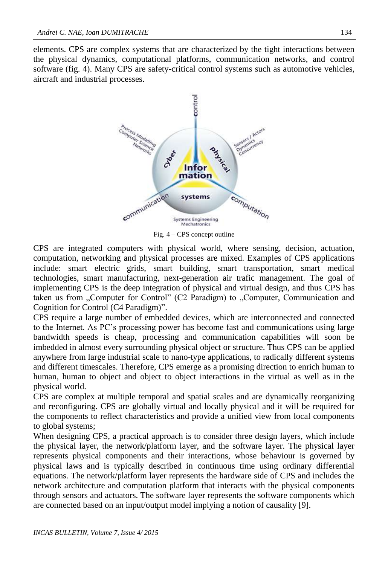elements. CPS are complex systems that are characterized by the tight interactions between the physical dynamics, computational platforms, communication networks, and control software (fig. 4). Many CPS are safety-critical control systems such as automotive vehicles, aircraft and industrial processes.



Fig. 4 – CPS concept outline

CPS are integrated computers with physical world, where sensing, decision, actuation, computation, networking and physical processes are mixed. Examples of CPS applications include: smart electric grids, smart building, smart transportation, smart medical technologies, smart manufacturing, next-generation air trafic management. The goal of implementing CPS is the deep integration of physical and virtual design, and thus CPS has taken us from "Computer for Control" (C2 Paradigm) to "Computer, Communication and Cognition for Control (C4 Paradigm)".

CPS require a large number of embedded devices, which are interconnected and connected to the Internet. As PC's processing power has become fast and communications using large bandwidth speeds is cheap, processing and communication capabilities will soon be imbedded in almost every surrounding physical object or structure. Thus CPS can be applied anywhere from large industrial scale to nano-type applications, to radically different systems and different timescales. Therefore, CPS emerge as a promising direction to enrich human to human, human to object and object to object interactions in the virtual as well as in the physical world.

CPS are complex at multiple temporal and spatial scales and are dynamically reorganizing and reconfiguring. CPS are globally virtual and locally physical and it will be required for the components to reflect characteristics and provide a unified view from local components to global systems;

When designing CPS, a practical approach is to consider three design layers, which include the physical layer, the network/platform layer, and the software layer. The physical layer represents physical components and their interactions, whose behaviour is governed by physical laws and is typically described in continuous time using ordinary differential equations. The network/platform layer represents the hardware side of CPS and includes the network architecture and computation platform that interacts with the physical components through sensors and actuators. The software layer represents the software components which are connected based on an input/output model implying a notion of causality [9].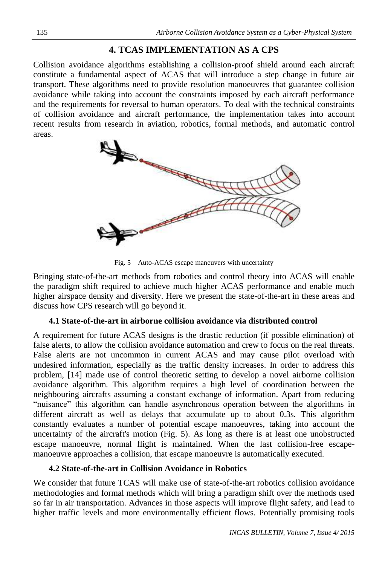# **4. TCAS IMPLEMENTATION AS A CPS**

Collision avoidance algorithms establishing a collision-proof shield around each aircraft constitute a fundamental aspect of ACAS that will introduce a step change in future air transport. These algorithms need to provide resolution manoeuvres that guarantee collision avoidance while taking into account the constraints imposed by each aircraft performance and the requirements for reversal to human operators. To deal with the technical constraints of collision avoidance and aircraft performance, the implementation takes into account recent results from research in aviation, robotics, formal methods, and automatic control areas.



Fig. 5 – Auto-ACAS escape maneuvers with uncertainty

Bringing state-of-the-art methods from robotics and control theory into ACAS will enable the paradigm shift required to achieve much higher ACAS performance and enable much higher airspace density and diversity. Here we present the state-of-the-art in these areas and discuss how CPS research will go beyond it.

#### **4.1 State-of-the-art in airborne collision avoidance via distributed control**

A requirement for future ACAS designs is the drastic reduction (if possible elimination) of false alerts, to allow the collision avoidance automation and crew to focus on the real threats. False alerts are not uncommon in current ACAS and may cause pilot overload with undesired information, especially as the traffic density increases. In order to address this problem, [14] made use of control theoretic setting to develop a novel airborne collision avoidance algorithm. This algorithm requires a high level of coordination between the neighbouring aircrafts assuming a constant exchange of information. Apart from reducing "nuisance" this algorithm can handle asynchronous operation between the algorithms in different aircraft as well as delays that accumulate up to about 0.3s. This algorithm constantly evaluates a number of potential escape manoeuvres, taking into account the uncertainty of the aircraft's motion (Fig. 5). As long as there is at least one unobstructed escape manoeuvre, normal flight is maintained. When the last collision-free escapemanoeuvre approaches a collision, that escape manoeuvre is automatically executed.

#### **4.2 State-of-the-art in Collision Avoidance in Robotics**

We consider that future TCAS will make use of state-of-the-art robotics collision avoidance methodologies and formal methods which will bring a paradigm shift over the methods used so far in air transportation. Advances in those aspects will improve flight safety, and lead to higher traffic levels and more environmentally efficient flows. Potentially promising tools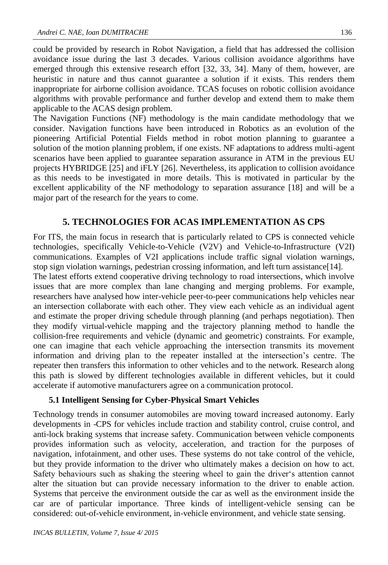could be provided by research in Robot Navigation, a field that has addressed the collision avoidance issue during the last 3 decades. Various collision avoidance algorithms have emerged through this extensive research effort [32, 33, 34]. Many of them, however, are heuristic in nature and thus cannot guarantee a solution if it exists. This renders them inappropriate for airborne collision avoidance. TCAS focuses on robotic collision avoidance algorithms with provable performance and further develop and extend them to make them applicable to the ACAS design problem.

The Navigation Functions (NF) methodology is the main candidate methodology that we consider. Navigation functions have been introduced in Robotics as an evolution of the pioneering Artificial Potential Fields method in robot motion planning to guarantee a solution of the motion planning problem, if one exists. NF adaptations to address multi-agent scenarios have been applied to guarantee separation assurance in ATM in the previous EU projects HYBRIDGE [25] and iFLY [26]. Nevertheless, its application to collision avoidance as this needs to be investigated in more details. This is motivated in particular by the excellent applicability of the NF methodology to separation assurance [18] and will be a major part of the research for the years to come.

## **5. TECHNOLOGIES FOR ACAS IMPLEMENTATION AS CPS**

For ITS, the main focus in research that is particularly related to CPS is connected vehicle technologies, specifically Vehicle-to-Vehicle (V2V) and Vehicle-to-Infrastructure (V2I) communications. Examples of V2I applications include traffic signal violation warnings, stop sign violation warnings, pedestrian crossing information, and left turn assistance[14].

The latest efforts extend cooperative driving technology to road intersections, which involve issues that are more complex than lane changing and merging problems. For example, researchers have analysed how inter-vehicle peer-to-peer communications help vehicles near an intersection collaborate with each other. They view each vehicle as an individual agent and estimate the proper driving schedule through planning (and perhaps negotiation). Then they modify virtual-vehicle mapping and the trajectory planning method to handle the collision-free requirements and vehicle (dynamic and geometric) constraints. For example, one can imagine that each vehicle approaching the intersection transmits its movement information and driving plan to the repeater installed at the intersection's centre. The repeater then transfers this information to other vehicles and to the network. Research along this path is slowed by different technologies available in different vehicles, but it could accelerate if automotive manufacturers agree on a communication protocol.

#### **5.1 Intelligent Sensing for Cyber-Physical Smart Vehicles**

Technology trends in consumer automobiles are moving toward increased autonomy. Early developments in -CPS for vehicles include traction and stability control, cruise control, and anti-lock braking systems that increase safety. Communication between vehicle components provides information such as velocity, acceleration, and traction for the purposes of navigation, infotainment, and other uses. These systems do not take control of the vehicle, but they provide information to the driver who ultimately makes a decision on how to act. Safety behaviours such as shaking the steering wheel to gain the driver's attention cannot alter the situation but can provide necessary information to the driver to enable action. Systems that perceive the environment outside the car as well as the environment inside the car are of particular importance. Three kinds of intelligent-vehicle sensing can be considered: out-of-vehicle environment, in-vehicle environment, and vehicle state sensing.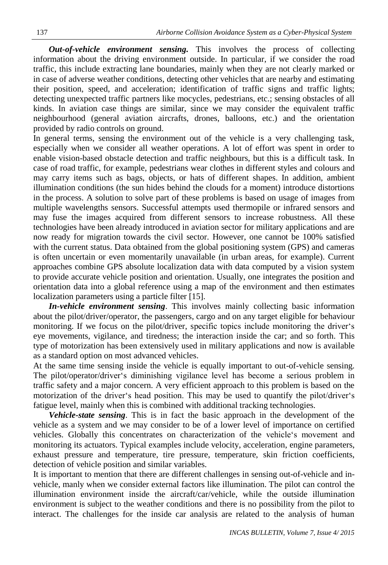*Out-of-vehicle environment sensing.* This involves the process of collecting information about the driving environment outside. In particular, if we consider the road traffic, this include extracting lane boundaries, mainly when they are not clearly marked or in case of adverse weather conditions, detecting other vehicles that are nearby and estimating their position, speed, and acceleration; identification of traffic signs and traffic lights; detecting unexpected traffic partners like mocycles, pedestrians, etc.; sensing obstacles of all kinds. In aviation case things are similar, since we may consider the equivalent traffic neighbourhood (general aviation aircrafts, drones, balloons, etc.) and the orientation provided by radio controls on ground.

In general terms, sensing the environment out of the vehicle is a very challenging task, especially when we consider all weather operations. A lot of effort was spent in order to enable vision-based obstacle detection and traffic neighbours, but this is a difficult task. In case of road traffic, for example, pedestrians wear clothes in different styles and colours and may carry items such as bags, objects, or hats of different shapes. In addition, ambient illumination conditions (the sun hides behind the clouds for a moment) introduce distortions in the process. A solution to solve part of these problems is based on usage of images from multiple wavelengths sensors. Successful attempts used thermopile or infrared sensors and may fuse the images acquired from different sensors to increase robustness. All these technologies have been already introduced in aviation sector for military applications and are now ready for migration towards the civil sector. However, one cannot be 100% satisfied with the current status. Data obtained from the global positioning system (GPS) and cameras is often uncertain or even momentarily unavailable (in urban areas, for example). Current approaches combine GPS absolute localization data with data computed by a vision system to provide accurate vehicle position and orientation. Usually, one integrates the position and orientation data into a global reference using a map of the environment and then estimates localization parameters using a particle filter [15].

*In-vehicle environment sensing*. This involves mainly collecting basic information about the pilot/driver/operator, the passengers, cargo and on any target eligible for behaviour monitoring. If we focus on the pilot/driver, specific topics include monitoring the driver's eye movements, vigilance, and tiredness; the interaction inside the car; and so forth. This type of motorization has been extensively used in military applications and now is available as a standard option on most advanced vehicles.

At the same time sensing inside the vehicle is equally important to out-of-vehicle sensing. The pilot/operator/driver's diminishing vigilance level has become a serious problem in traffic safety and a major concern. A very efficient approach to this problem is based on the motorization of the driver's head position. This may be used to quantify the pilot/driver's fatigue level, mainly when this is combined with additional tracking technologies.

*Vehicle-state sensing*. This is in fact the basic approach in the development of the vehicle as a system and we may consider to be of a lower level of importance on certified vehicles. Globally this concentrates on characterization of the vehicle's movement and monitoring its actuators. Typical examples include velocity, acceleration, engine parameters, exhaust pressure and temperature, tire pressure, temperature, skin friction coefficients, detection of vehicle position and similar variables.

It is important to mention that there are different challenges in sensing out-of-vehicle and invehicle, manly when we consider external factors like illumination. The pilot can control the illumination environment inside the aircraft/car/vehicle, while the outside illumination environment is subject to the weather conditions and there is no possibility from the pilot to interact. The challenges for the inside car analysis are related to the analysis of human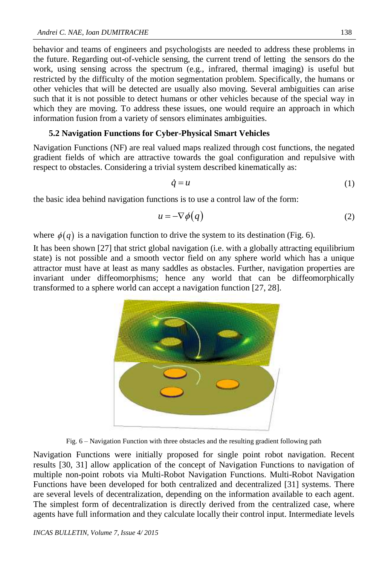behavior and teams of engineers and psychologists are needed to address these problems in the future. Regarding out-of-vehicle sensing, the current trend of letting the sensors do the work, using sensing across the spectrum (e.g., infrared, thermal imaging) is useful but restricted by the difficulty of the motion segmentation problem. Specifically, the humans or other vehicles that will be detected are usually also moving. Several ambiguities can arise such that it is not possible to detect humans or other vehicles because of the special way in which they are moving. To address these issues, one would require an approach in which information fusion from a variety of sensors eliminates ambiguities.

#### **5.2 Navigation Functions for Cyber-Physical Smart Vehicles**

Navigation Functions (NF) are real valued maps realized through cost functions, the negated gradient fields of which are attractive towards the goal configuration and repulsive with respect to obstacles. Considering a trivial system described kinematically as:

$$
\dot{q} = u \tag{1}
$$

the basic idea behind navigation functions is to use a control law of the form:

$$
u = -\nabla \phi(q) \tag{2}
$$

where  $\phi(q)$  is a navigation function to drive the system to its destination (Fig. 6).

It has been shown [27] that strict global navigation (i.e. with a globally attracting equilibrium state) is not possible and a smooth vector field on any sphere world which has a unique attractor must have at least as many saddles as obstacles. Further, navigation properties are invariant under diffeomorphisms; hence any world that can be diffeomorphically transformed to a sphere world can accept a navigation function [27, 28].



Fig. 6 – Navigation Function with three obstacles and the resulting gradient following path

Navigation Functions were initially proposed for single point robot navigation. Recent results [30, 31] allow application of the concept of Navigation Functions to navigation of multiple non-point robots via Multi-Robot Navigation Functions. Multi-Robot Navigation Functions have been developed for both centralized and decentralized [31] systems. There are several levels of decentralization, depending on the information available to each agent. The simplest form of decentralization is directly derived from the centralized case, where agents have full information and they calculate locally their control input. Intermediate levels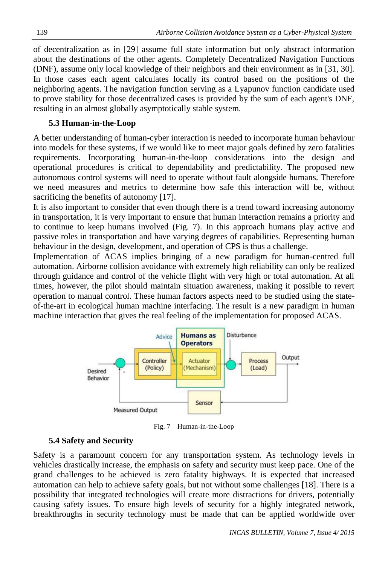of decentralization as in [29] assume full state information but only abstract information about the destinations of the other agents. Completely Decentralized Navigation Functions (DNF), assume only local knowledge of their neighbors and their environment as in [31, 30]. In those cases each agent calculates locally its control based on the positions of the neighboring agents. The navigation function serving as a Lyapunov function candidate used to prove stability for those decentralized cases is provided by the sum of each agent's DNF, resulting in an almost globally asymptotically stable system.

#### **5.3 Human-in-the-Loop**

A better understanding of human-cyber interaction is needed to incorporate human behaviour into models for these systems, if we would like to meet major goals defined by zero fatalities requirements. Incorporating human-in-the-loop considerations into the design and operational procedures is critical to dependability and predictability. The proposed new autonomous control systems will need to operate without fault alongside humans. Therefore we need measures and metrics to determine how safe this interaction will be, without sacrificing the benefits of autonomy [17].

It is also important to consider that even though there is a trend toward increasing autonomy in transportation, it is very important to ensure that human interaction remains a priority and to continue to keep humans involved (Fig. 7). In this approach humans play active and passive roles in transportation and have varying degrees of capabilities. Representing human behaviour in the design, development, and operation of CPS is thus a challenge.

Implementation of ACAS implies bringing of a new paradigm for human-centred full automation. Airborne collision avoidance with extremely high reliability can only be realized through guidance and control of the vehicle flight with very high or total automation. At all times, however, the pilot should maintain situation awareness, making it possible to revert operation to manual control. These human factors aspects need to be studied using the stateof-the-art in ecological human machine interfacing. The result is a new paradigm in human machine interaction that gives the real feeling of the implementation for proposed ACAS.



Fig. 7 – Human-in-the-Loop

#### **5.4 Safety and Security**

Safety is a paramount concern for any transportation system. As technology levels in vehicles drastically increase, the emphasis on safety and security must keep pace. One of the grand challenges to be achieved is zero fatality highways. It is expected that increased automation can help to achieve safety goals, but not without some challenges [18]. There is a possibility that integrated technologies will create more distractions for drivers, potentially causing safety issues. To ensure high levels of security for a highly integrated network, breakthroughs in security technology must be made that can be applied worldwide over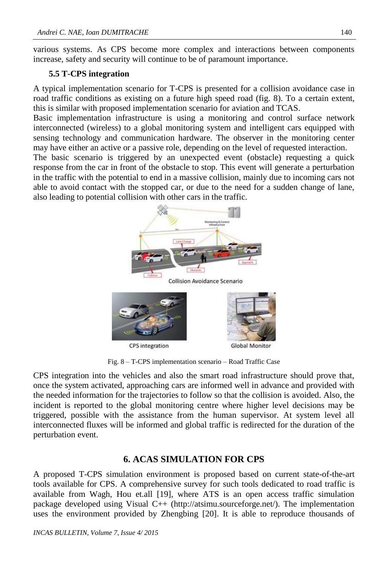various systems. As CPS become more complex and interactions between components increase, safety and security will continue to be of paramount importance.

#### **5.5 T-CPS integration**

A typical implementation scenario for T-CPS is presented for a collision avoidance case in road traffic conditions as existing on a future high speed road (fig. 8). To a certain extent, this is similar with proposed implementation scenario for aviation and TCAS.

Basic implementation infrastructure is using a monitoring and control surface network interconnected (wireless) to a global monitoring system and intelligent cars equipped with sensing technology and communication hardware. The observer in the monitoring center may have either an active or a passive role, depending on the level of requested interaction.

The basic scenario is triggered by an unexpected event (obstacle) requesting a quick response from the car in front of the obstacle to stop. This event will generate a perturbation in the traffic with the potential to end in a massive collision, mainly due to incoming cars not able to avoid contact with the stopped car, or due to the need for a sudden change of lane, also leading to potential collision with other cars in the traffic.



Fig. 8 – T-CPS implementation scenario – Road Traffic Case

CPS integration into the vehicles and also the smart road infrastructure should prove that, once the system activated, approaching cars are informed well in advance and provided with the needed information for the trajectories to follow so that the collision is avoided. Also, the incident is reported to the global monitoring centre where higher level decisions may be triggered, possible with the assistance from the human supervisor. At system level all interconnected fluxes will be informed and global traffic is redirected for the duration of the perturbation event.

# **6. ACAS SIMULATION FOR CPS**

A proposed T-CPS simulation environment is proposed based on current state-of-the-art tools available for CPS. A comprehensive survey for such tools dedicated to road traffic is available from Wagh, Hou et.all [19], where ATS is an open access traffic simulation package developed using Visual C++ (http://atsimu.sourceforge.net/). The implementation uses the environment provided by Zhengbing [20]. It is able to reproduce thousands of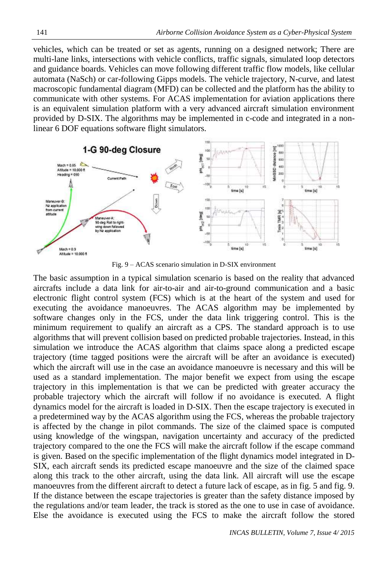vehicles, which can be treated or set as agents, running on a designed network; There are multi-lane links, intersections with vehicle conflicts, traffic signals, simulated loop detectors and guidance boards. Vehicles can move following different traffic flow models, like cellular automata (NaSch) or car-following Gipps models. The vehicle trajectory, N-curve, and latest macroscopic fundamental diagram (MFD) can be collected and the platform has the ability to communicate with other systems. For ACAS implementation for aviation applications there is an equivalent simulation platform with a very advanced aircraft simulation environment provided by D-SIX. The algorithms may be implemented in c-code and integrated in a nonlinear 6 DOF equations software flight simulators.



Fig. 9 – ACAS scenario simulation in D-SIX environment

The basic assumption in a typical simulation scenario is based on the reality that advanced aircrafts include a data link for air-to-air and air-to-ground communication and a basic electronic flight control system (FCS) which is at the heart of the system and used for executing the avoidance manoeuvres. The ACAS algorithm may be implemented by software changes only in the FCS, under the data link triggering control. This is the minimum requirement to qualify an aircraft as a CPS. The standard approach is to use algorithms that will prevent collision based on predicted probable trajectories. Instead, in this simulation we introduce the ACAS algorithm that claims space along a predicted escape trajectory (time tagged positions were the aircraft will be after an avoidance is executed) which the aircraft will use in the case an avoidance manoeuvre is necessary and this will be used as a standard implementation. The major benefit we expect from using the escape trajectory in this implementation is that we can be predicted with greater accuracy the probable trajectory which the aircraft will follow if no avoidance is executed. A flight dynamics model for the aircraft is loaded in D-SIX. Then the escape trajectory is executed in a predetermined way by the ACAS algorithm using the FCS, whereas the probable trajectory is affected by the change in pilot commands. The size of the claimed space is computed using knowledge of the wingspan, navigation uncertainty and accuracy of the predicted trajectory compared to the one the FCS will make the aircraft follow if the escape command is given. Based on the specific implementation of the flight dynamics model integrated in D-SIX, each aircraft sends its predicted escape manoeuvre and the size of the claimed space along this track to the other aircraft, using the data link. All aircraft will use the escape manoeuvres from the different aircraft to detect a future lack of escape, as in fig. 5 and fig. 9. If the distance between the escape trajectories is greater than the safety distance imposed by the regulations and/or team leader, the track is stored as the one to use in case of avoidance. Else the avoidance is executed using the FCS to make the aircraft follow the stored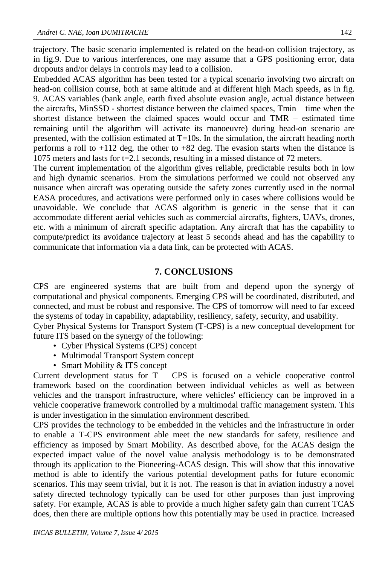trajectory. The basic scenario implemented is related on the head-on collision trajectory, as in fig.9. Due to various interferences, one may assume that a GPS positioning error, data dropouts and/or delays in controls may lead to a collision.

Embedded ACAS algorithm has been tested for a typical scenario involving two aircraft on head-on collision course, both at same altitude and at different high Mach speeds, as in fig. 9. ACAS variables (bank angle, earth fixed absolute evasion angle, actual distance between the aircrafts, MinSSD - shortest distance between the claimed spaces, Tmin – time when the shortest distance between the claimed spaces would occur and TMR – estimated time remaining until the algorithm will activate its manoeuvre) during head-on scenario are presented, with the collision estimated at T=10s. In the simulation, the aircraft heading north performs a roll to +112 deg, the other to +82 deg. The evasion starts when the distance is 1075 meters and lasts for t=2.1 seconds, resulting in a missed distance of 72 meters.

The current implementation of the algorithm gives reliable, predictable results both in low and high dynamic scenarios. From the simulations performed we could not observed any nuisance when aircraft was operating outside the safety zones currently used in the normal EASA procedures, and activations were performed only in cases where collisions would be unavoidable. We conclude that ACAS algorithm is generic in the sense that it can accommodate different aerial vehicles such as commercial aircrafts, fighters, UAVs, drones, etc. with a minimum of aircraft specific adaptation. Any aircraft that has the capability to compute/predict its avoidance trajectory at least 5 seconds ahead and has the capability to communicate that information via a data link, can be protected with ACAS.

#### **7. CONCLUSIONS**

CPS are engineered systems that are built from and depend upon the synergy of computational and physical components. Emerging CPS will be coordinated, distributed, and connected, and must be robust and responsive. The CPS of tomorrow will need to far exceed the systems of today in capability, adaptability, resiliency, safety, security, and usability.

Cyber Physical Systems for Transport System (T-CPS) is a new conceptual development for future ITS based on the synergy of the following:

- Cyber Physical Systems (CPS) concept
- Multimodal Transport System concept
- Smart Mobility & ITS concept

Current development status for  $T - CPS$  is focused on a vehicle cooperative control framework based on the coordination between individual vehicles as well as between vehicles and the transport infrastructure, where vehicles' efficiency can be improved in a vehicle cooperative framework controlled by a multimodal traffic management system. This is under investigation in the simulation environment described.

CPS provides the technology to be embedded in the vehicles and the infrastructure in order to enable a T-CPS environment able meet the new standards for safety, resilience and efficiency as imposed by Smart Mobility. As described above, for the ACAS design the expected impact value of the novel value analysis methodology is to be demonstrated through its application to the Pioneering-ACAS design. This will show that this innovative method is able to identify the various potential development paths for future economic scenarios. This may seem trivial, but it is not. The reason is that in aviation industry a novel safety directed technology typically can be used for other purposes than just improving safety. For example, ACAS is able to provide a much higher safety gain than current TCAS does, then there are multiple options how this potentially may be used in practice. Increased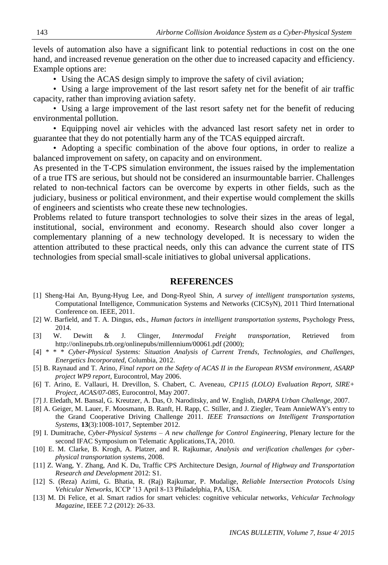levels of automation also have a significant link to potential reductions in cost on the one hand, and increased revenue generation on the other due to increased capacity and efficiency. Example options are:

• Using the ACAS design simply to improve the safety of civil aviation;

• Using a large improvement of the last resort safety net for the benefit of air traffic capacity, rather than improving aviation safety.

• Using a large improvement of the last resort safety net for the benefit of reducing environmental pollution.

• Equipping novel air vehicles with the advanced last resort safety net in order to guarantee that they do not potentially harm any of the TCAS equipped aircraft.

• Adopting a specific combination of the above four options, in order to realize a balanced improvement on safety, on capacity and on environment.

As presented in the T-CPS simulation environment, the issues raised by the implementation of a true ITS are serious, but should not be considered an insurmountable barrier. Challenges related to non-technical factors can be overcome by experts in other fields, such as the judiciary, business or political environment, and their expertise would complement the skills of engineers and scientists who create these new technologies.

Problems related to future transport technologies to solve their sizes in the areas of legal, institutional, social, environment and economy. Research should also cover longer a complementary planning of a new technology developed. It is necessary to widen the attention attributed to these practical needs, only this can advance the current state of ITS technologies from special small-scale initiatives to global universal applications.

#### **REFERENCES**

- [1] Sheng-Hai An, Byung-Hyug Lee, and Dong-Ryeol Shin, *A survey of intelligent transportation systems*, Computational Intelligence, Communication Systems and Networks (CICSyN), 2011 Third International Conference on. IEEE, 2011.
- [2] W. Barfield, and T. A. Dingus, eds., *Human factors in intelligent transportation systems*, Psychology Press, 2014.
- [3] W. Dewitt & J. Clinger, *Intermodal Freight transportation*, Retrieved from http://onlinepubs.trb.org/onlinepubs/millennium/00061.pdf (2000);
- [4] \* \* \* *Cyber-Physical Systems: Situation Analysis of Current Trends, Technologies, and Challenges, Energetics Incorporated*, Columbia, 2012.
- [5] B. Raynaud and T. Arino, *Final report on the Safety of ACAS II in the European RVSM environment, ASARP project WP9 report*, Eurocontrol, May 2006.
- [6] T. Arino, E. Vallauri, H. Drevillon, S. Chabert, C. Aveneau, *CP115 (LOLO) Evaluation Report, SIRE+ Project, ACAS/07-085*, Eurocontrol, May 2007.
- [7] J. Eledath, M. Bansal, G. Kreutzer, A. Das, O. Naroditsky, and W. English, *DARPA Urban Challenge*, 2007.
- [8] A. Geiger, M. Lauer, F. Moosmann, B. Ranft, H. Rapp, C. Stiller, and J. Ziegler, Team AnnieWAY's entry to the Grand Cooperative Driving Challenge 2011. *IEEE Transactions on Intelligent Transportation Systems*, **13**(3):1008-1017, September 2012.
- [9] I. Dumitrache, *Cyber-Physical Systems – A new challenge for Control Engineering*, Plenary lecture for the second IFAC Symposium on Telematic Applications,TA, 2010.
- [10] E. M. Clarke, B. Krogh, A. Platzer, and R. Rajkumar, *Analysis and verification challenges for cyberphysical transportation systems*, 2008.
- [11] Z. Wang, Y. Zhang, And K. Du, Traffic CPS Architecture Design, *Journal of Highway and Transportation Research and Development* 2012: S1.
- [12] S. (Reza) Azimi, G. Bhatia, R. (Raj) Rajkumar, P. Mudalige, *Reliable Intersection Protocols Using Vehicular Networks*, ICCP '13 April 8-13 Philadelphia, PA, USA.
- [13] M. Di Felice, et al. Smart radios for smart vehicles: cognitive vehicular networks, *Vehicular Technology Magazine*, IEEE 7.2 (2012): 26-33.